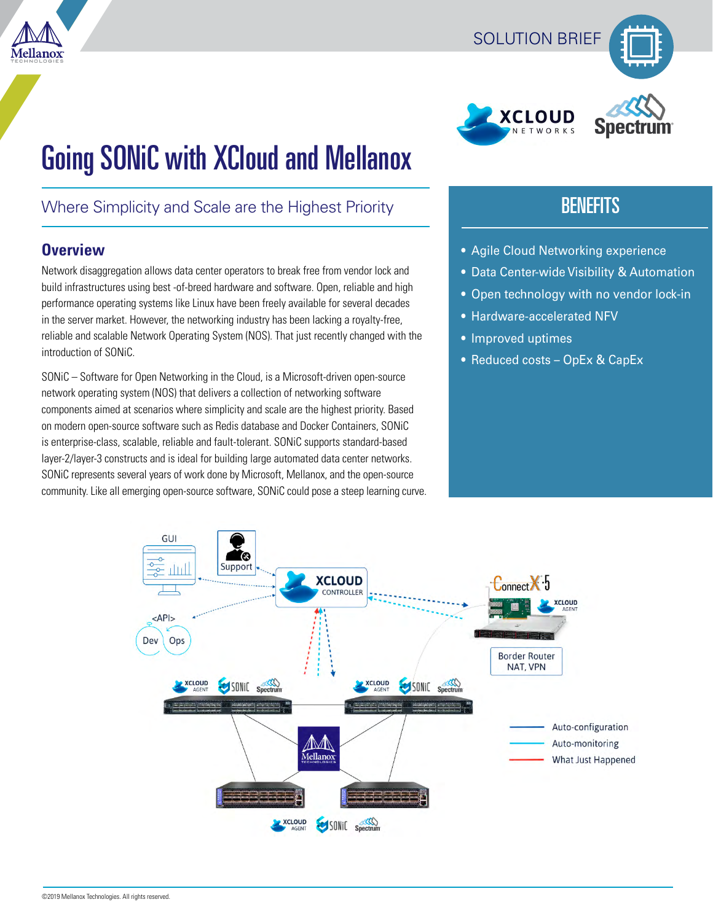





# Going SONiC with XCloud and Mellanox

# Where Simplicity and Scale are the Highest Priority

# **Overview**

Network disaggregation allows data center operators to break free from vendor lock and build infrastructures using best -of-breed hardware and software. Open, reliable and high performance operating systems like Linux have been freely available for several decades in the server market. However, the networking industry has been lacking a royalty-free, reliable and scalable Network Operating System (NOS). That just recently changed with the introduction of SONiC.

SONiC – Software for Open Networking in the Cloud, is a Microsoft-driven open-source network operating system (NOS) that delivers a collection of networking software components aimed at scenarios where simplicity and scale are the highest priority. Based on modern open-source software such as Redis database and Docker Containers, SONiC is enterprise-class, scalable, reliable and fault-tolerant. SONiC supports standard-based layer-2/layer-3 constructs and is ideal for building large automated data center networks. SONiC represents several years of work done by Microsoft, Mellanox, and the open-source community. Like all emerging open-source software, SONiC could pose a steep learning curve.

# **BENEFITS**

- Agile Cloud Networking experience
- Data Center-wide Visibility & Automation
- Open technology with no vendor lock-in
- Hardware-accelerated NFV
- Improved uptimes
- Reduced costs OpEx & CapEx

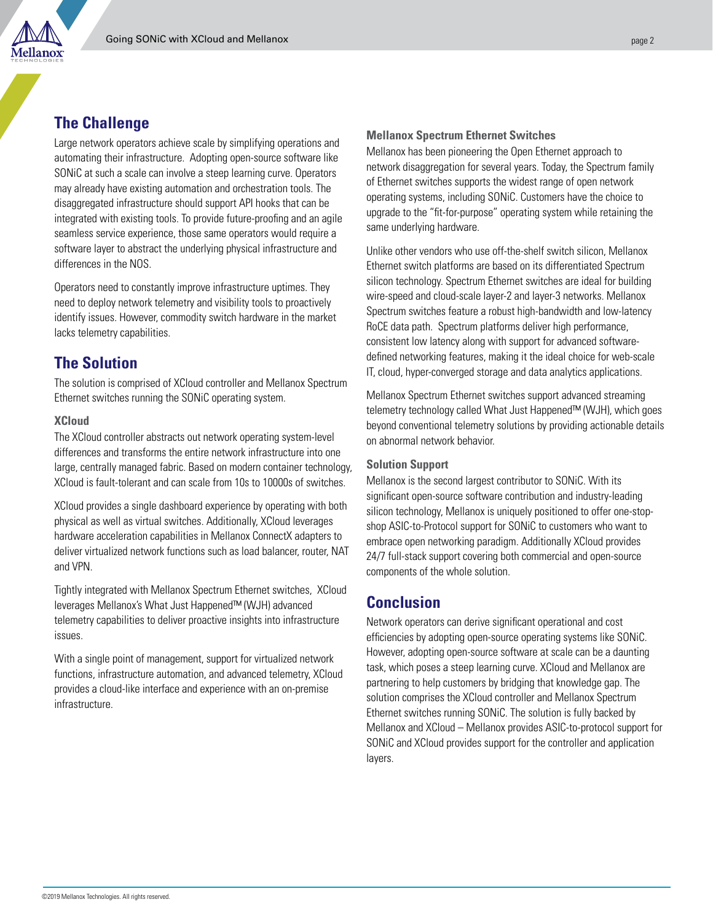

## **The Challenge**

Large network operators achieve scale by simplifying operations and automating their infrastructure. Adopting open-source software like SONiC at such a scale can involve a steep learning curve. Operators may already have existing automation and orchestration tools. The disaggregated infrastructure should support API hooks that can be integrated with existing tools. To provide future-proofing and an agile seamless service experience, those same operators would require a software layer to abstract the underlying physical infrastructure and differences in the NOS.

Operators need to constantly improve infrastructure uptimes. They need to deploy network telemetry and visibility tools to proactively identify issues. However, commodity switch hardware in the market lacks telemetry capabilities.

### **The Solution**

The solution is comprised of XCloud controller and Mellanox Spectrum Ethernet switches running the SONiC operating system.

#### **XCloud**

The XCloud controller abstracts out network operating system-level differences and transforms the entire network infrastructure into one large, centrally managed fabric. Based on modern container technology, XCloud is fault-tolerant and can scale from 10s to 10000s of switches.

XCloud provides a single dashboard experience by operating with both physical as well as virtual switches. Additionally, XCloud leverages hardware acceleration capabilities in Mellanox ConnectX adapters to deliver virtualized network functions such as load balancer, router, NAT and VPN.

Tightly integrated with Mellanox Spectrum Ethernet switches, XCloud leverages Mellanox's What Just Happened™ (WJH) advanced telemetry capabilities to deliver proactive insights into infrastructure issues.

With a single point of management, support for virtualized network functions, infrastructure automation, and advanced telemetry, XCloud provides a cloud-like interface and experience with an on-premise infrastructure.

#### **Mellanox Spectrum Ethernet Switches**

Mellanox has been pioneering the Open Ethernet approach to network disaggregation for several years. Today, the Spectrum family of Ethernet switches supports the widest range of open network operating systems, including SONiC. Customers have the choice to upgrade to the "fit-for-purpose" operating system while retaining the same underlying hardware.

Unlike other vendors who use off-the-shelf switch silicon, Mellanox Ethernet switch platforms are based on its differentiated Spectrum silicon technology. Spectrum Ethernet switches are ideal for building wire-speed and cloud-scale layer-2 and layer-3 networks. Mellanox Spectrum switches feature a robust high-bandwidth and low-latency RoCE data path. Spectrum platforms deliver high performance, consistent low latency along with support for advanced softwaredefined networking features, making it the ideal choice for web-scale IT, cloud, hyper-converged storage and data analytics applications.

Mellanox Spectrum Ethernet switches support advanced streaming telemetry technology called What Just Happened™ (WJH), which goes beyond conventional telemetry solutions by providing actionable details on abnormal network behavior.

#### **Solution Support**

Mellanox is the second largest contributor to SONiC. With its significant open-source software contribution and industry-leading silicon technology, Mellanox is uniquely positioned to offer one-stopshop ASIC-to-Protocol support for SONiC to customers who want to embrace open networking paradigm. Additionally XCloud provides 24/7 full-stack support covering both commercial and open-source components of the whole solution.

### **Conclusion**

Network operators can derive significant operational and cost efficiencies by adopting open-source operating systems like SONiC. However, adopting open-source software at scale can be a daunting task, which poses a steep learning curve. XCloud and Mellanox are partnering to help customers by bridging that knowledge gap. The solution comprises the XCloud controller and Mellanox Spectrum Ethernet switches running SONiC. The solution is fully backed by Mellanox and XCloud – Mellanox provides ASIC-to-protocol support for SONiC and XCloud provides support for the controller and application layers.